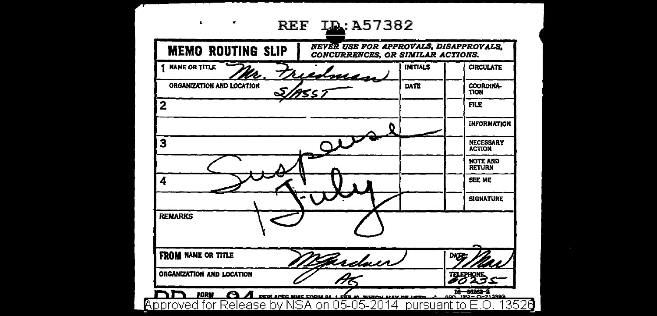| <b>MEMO ROUTING SLIP</b>  | <b>NEVER USE FOR APPROVALS, DISAPPROVALS,</b><br>CONCURRENCES, OR SIMILAR ACTIONS. |                 |                                   |
|---------------------------|------------------------------------------------------------------------------------|-----------------|-----------------------------------|
| <b>NAME OR TITLE</b>      | redman                                                                             | <b>INITIALS</b> | <b>CIRCULATE</b>                  |
| ORGANIZATION AND LOCATION | 755 ;                                                                              | DATE            | COORDINA-<br><b>TION</b>          |
| 2                         |                                                                                    |                 | FILE                              |
|                           |                                                                                    |                 | <b>INFORMATION</b>                |
| 3                         |                                                                                    |                 | <b>NECESSARY</b><br><b>ACTION</b> |
|                           |                                                                                    |                 | <b>NOTE AND</b><br><b>RETURN</b>  |
| 4                         |                                                                                    |                 | <b>SEE ME</b>                     |
|                           |                                                                                    |                 | <b>SIGNATURE</b>                  |
| <b>REMARKS</b>            |                                                                                    |                 |                                   |
| <b>FROM NAME OR TITLE</b> | Ferdaer                                                                            |                 | DAT                               |
| ORGANIZATION AND LOCATION |                                                                                    |                 |                                   |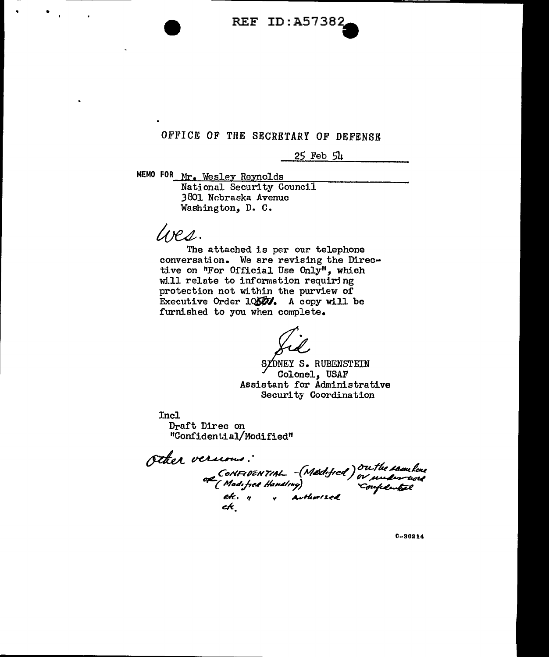

# OFFICE OF THE SECRETARY OF DEFENSE

25 Feb 54

MEMO FOR Mr. Wesley Reynolds

National Security Council 3001 Nr.braska Avenue Washington, D. C.

*/oe4.* 

The attached is per our telephone conversation. We are revising the Directive on "For Official Use Only", which w:i.11 relate to information requirj ng protection not within the purview of Executive Order  $10$  $50$ , A copy will be furnished to you when complete,

zdney s. rubenstein Colonel, USAF Assistant for Administrative Security Coordination

Incl Draft Direc on <sup>11</sup>Confiden ti aJ/Modified"

Other versions:<br>or CONFIDENTIAL - (Medified) or understand<br>or (Modified Handing) confidential<br>etc. n , Authorized<br>etc.

C-30214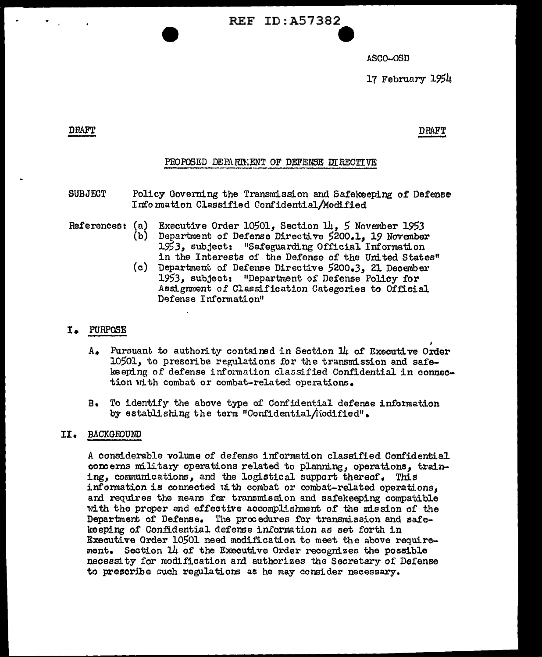**REF ID:A57382** 

ASCO-OSD

17 February 1954

# **DRAFT**

DRAFT

# PROPOSED DEPARTMENT OF DEFENSE DIRECTIVE

- **SUBJECT** Policy Governing the Transmission and Safekeeping of Defense Information Classified Confidential/Modified
- References: (a) Executive Order 10501, Section 14, 5 November 1953
	- (Ъ) Department of Defense Directive 5200.1, 19 November 1953, subject: "Safeguarding Official Information in the Interests of the Defense of the United States"
	- $(c)$ Department of Defense Directive 5200.3, 21 December 1953, subject: "Department of Defense Policy for Assignment of Classification Categories to Official Defense Information"

# I. PURPOSE

- $A_{\bullet}$  Pursuant to authority contained in Section  $\Pi_l$  of Executive Order 10501, to prescribe regulations for the transmission and safekeeping of defense information classified Confidential in connection with combat or combat-related operations.
- B. To identify the above type of Confidential defense information by establishing the term "Confidential/iodified".

### II. BACKGROUND

A considerable volume of defense information classified Confidential concerns military operations related to planning, operations, training, communications, and the logistical support thereof. This information is connected ut th combat or combat-related operations, and requires the means for transmission and safekeeping compatible with the proper and effective accomplishment of the mission of the Department of Defense. The procedures for transmission and safekeeping of Confidential defense information as set forth in Executive Order 10501 need modification to meet the above requirement. Section 14 of the Executive Order recognizes the possible necessity for modification and authorizes the Secretary of Defense to prescribe such regulations as he may consider necessary.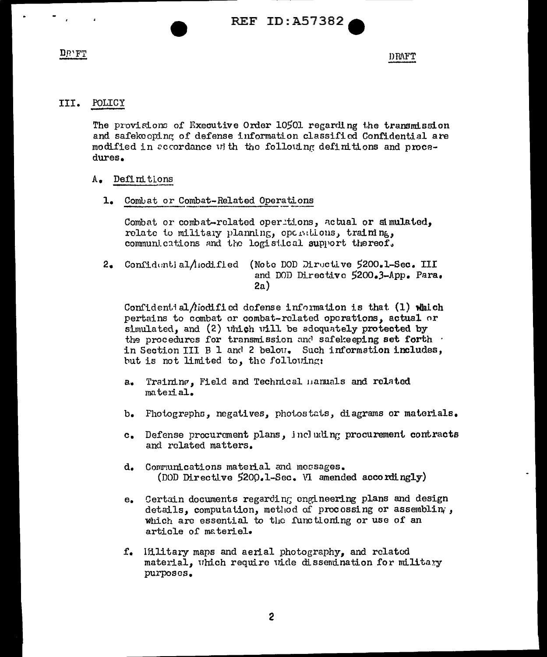**REF ID: A57382** 

 $DIP'FT$ 

DRAFT

#### POLICY III.

The provisions of Executive Order 10501 regarding the transmission and safekeeping of defense information classified Confidential are modified in accordance with the following definitions and procedures.

#### Definitions A.,

1. Combat or Combat-Related Operations

Combat or combat-related operitions, actual or simulated, relate to military planning, opentions, training, communications and the logistical support thereof.

2. Confidential/iodified (Note DOD Directive 5200.1-Sec. III and DOD Directive 5200.3-App. Para.  $2a)$ 

Confident al *fiodified* dofense information is that  $(1)$  which pertains to combat or combat-related operations, actual or simulated, and (2) which will be adequately protected by the procedures for transmission and safekeeping set forth . in Section III  $B$  1 and 2 below. Such information includes, but is not limited to, the following:

- a. Training, Field and Technical manuals and related material.
- Fhotographs, negatives, photostats, diagrams or materials.  $b_{\bullet}$
- c. Defense procurement plans, including procurement contracts and related matters.
- d. Communications material and messages. (DOD Directive 5200.1-Sec. VI amended accordingly)
- Certain documents regarding engineering plans and design  $e_{\bullet}$ details, computation, method of procossing or assembling, which are essential to the functioning or use of an article of materiel.
- f. Ifilitary maps and aerial photography, and related material, which require wide dissemination for military purposes.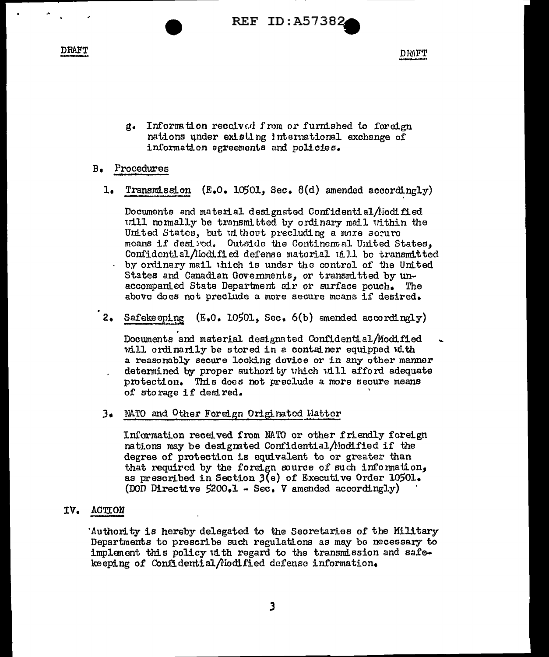**REF ID:A57382** 

**DRAFT** 

**DRAFT** 

g. Information received from or furnished to foreign nations under existing international exchange of information sgreements and policies.

#### Procedures  $B_{\bullet}$

1. Transmission  $(E_0 0. 10501, Sec. 8(d)$  amended accordingly)

Documents and material designated Confidential/Modified will normally be transmitted by ordinary mail within the United States, but without precluding a more secure means if desired. Outside the Continental United States. Confidential/lodified defense material uill be transmitted by ordinary mail which is under the control of the United States and Canadian Governments, or transmitted by unaccompanied State Department air or surface pouch. The above does not preclude a more secure moans if desired.

2. Safekeeping (E.O. 10501, Sec. 6(b) amended accordingly)

Documents and material designated Confidential/Modified will ordinarily be stored in a container equipped with a reasonably secure locking device or in any other manner determined by proper authority which will afford adequate protection. This does not preclude a more secure means of storage if desired.

3. NATO and Other Foreign Originated Matter

Information received from NATO or other friendly foreign nations may be designated Confidential/Modified if the degree of protection is equivalent to or greater than that required by the foreign source of such information, as prescribed in Section 3(e) of Executive Order 10501. (DOD Directive  $5200 - 1 - \text{Sec. V}$  amended accordingly)

#### IV. **ACTION**

'Authority is hereby delegated to the Secretaries of the Military Departments to prescribe such regulations as may be necessary to implement this policy with regard to the transmission and safekeeping of Confidential/iodified defense information.